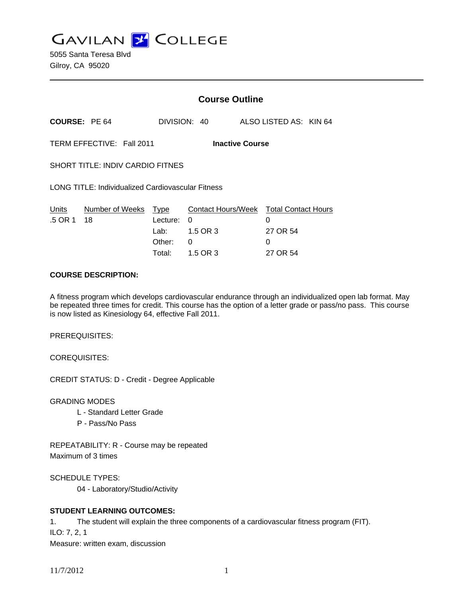**GAVILAN Z COLLEGE** 

|                                                          | <b>Course Outline</b>                |                                |                                |                                        |
|----------------------------------------------------------|--------------------------------------|--------------------------------|--------------------------------|----------------------------------------|
| <b>COURSE: PE 64</b>                                     |                                      |                                | ALSO LISTED AS: KIN 64         |                                        |
| TERM EFFECTIVE: Fall 2011<br><b>Inactive Course</b>      |                                      |                                |                                |                                        |
| <b>SHORT TITLE: INDIV CARDIO FITNES</b>                  |                                      |                                |                                |                                        |
| <b>LONG TITLE: Individualized Cardiovascular Fitness</b> |                                      |                                |                                |                                        |
| Number of Weeks<br>18                                    | Lecture:<br>Lab:<br>Other:<br>Total: | 0<br>1.5 OR 3<br>0<br>1.5 OR 3 | 0<br>27 OR 54<br>0<br>27 OR 54 |                                        |
|                                                          |                                      | Type                           | DIVISION: 40                   | Contact Hours/Week Total Contact Hours |

## **COURSE DESCRIPTION:**

A fitness program which develops cardiovascular endurance through an individualized open lab format. May be repeated three times for credit. This course has the option of a letter grade or pass/no pass. This course is now listed as Kinesiology 64, effective Fall 2011.

PREREQUISITES:

COREQUISITES:

CREDIT STATUS: D - Credit - Degree Applicable

GRADING MODES

- L Standard Letter Grade
- P Pass/No Pass

REPEATABILITY: R - Course may be repeated Maximum of 3 times

SCHEDULE TYPES:

04 - Laboratory/Studio/Activity

# **STUDENT LEARNING OUTCOMES:**

1. The student will explain the three components of a cardiovascular fitness program (FIT). ILO: 7, 2, 1 Measure: written exam, discussion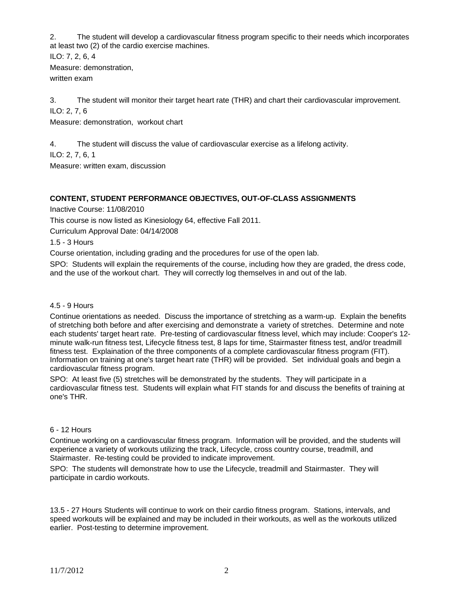2. The student will develop a cardiovascular fitness program specific to their needs which incorporates at least two (2) of the cardio exercise machines.

ILO: 7, 2, 6, 4 Measure: demonstration, written exam

3. The student will monitor their target heart rate (THR) and chart their cardiovascular improvement. ILO: 2, 7, 6

Measure: demonstration, workout chart

4. The student will discuss the value of cardiovascular exercise as a lifelong activity.

ILO: 2, 7, 6, 1

Measure: written exam, discussion

# **CONTENT, STUDENT PERFORMANCE OBJECTIVES, OUT-OF-CLASS ASSIGNMENTS**

Inactive Course: 11/08/2010

This course is now listed as Kinesiology 64, effective Fall 2011.

Curriculum Approval Date: 04/14/2008

1.5 - 3 Hours

Course orientation, including grading and the procedures for use of the open lab.

SPO: Students will explain the requirements of the course, including how they are graded, the dress code, and the use of the workout chart. They will correctly log themselves in and out of the lab.

#### 4.5 - 9 Hours

Continue orientations as needed. Discuss the importance of stretching as a warm-up. Explain the benefits of stretching both before and after exercising and demonstrate a variety of stretches. Determine and note each students' target heart rate. Pre-testing of cardiovascular fitness level, which may include: Cooper's 12 minute walk-run fitness test, Lifecycle fitness test, 8 laps for time, Stairmaster fitness test, and/or treadmill fitness test. Explaination of the three components of a complete cardiovascular fitness program (FIT). Information on training at one's target heart rate (THR) will be provided. Set individual goals and begin a cardiovascular fitness program.

SPO: At least five (5) stretches will be demonstrated by the students. They will participate in a cardiovascular fitness test. Students will explain what FIT stands for and discuss the benefits of training at one's THR.

#### 6 - 12 Hours

Continue working on a cardiovascular fitness program. Information will be provided, and the students will experience a variety of workouts utilizing the track, Lifecycle, cross country course, treadmill, and Stairmaster. Re-testing could be provided to indicate improvement.

SPO: The students will demonstrate how to use the Lifecycle, treadmill and Stairmaster. They will participate in cardio workouts.

13.5 - 27 Hours Students will continue to work on their cardio fitness program. Stations, intervals, and speed workouts will be explained and may be included in their workouts, as well as the workouts utilized earlier. Post-testing to determine improvement.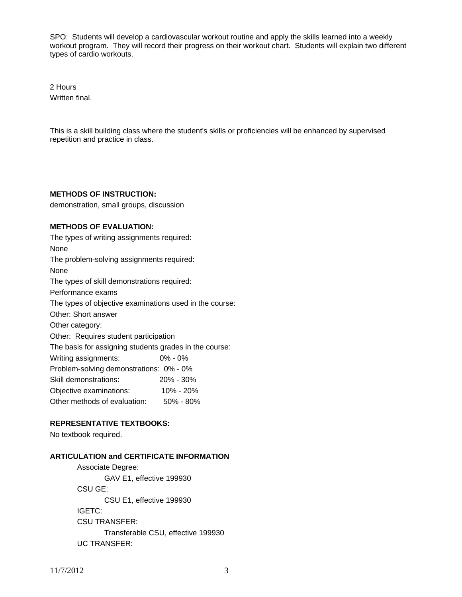SPO: Students will develop a cardiovascular workout routine and apply the skills learned into a weekly workout program. They will record their progress on their workout chart. Students will explain two different types of cardio workouts.

2 Hours Written final.

This is a skill building class where the student's skills or proficiencies will be enhanced by supervised repetition and practice in class.

#### **METHODS OF INSTRUCTION:**

demonstration, small groups, discussion

### **METHODS OF EVALUATION:**

The types of writing assignments required: None The problem-solving assignments required: None The types of skill demonstrations required: Performance exams The types of objective examinations used in the course: Other: Short answer Other category: Other: Requires student participation The basis for assigning students grades in the course: Writing assignments: 0% - 0% Problem-solving demonstrations: 0% - 0% Skill demonstrations: 20% - 30% Objective examinations: 10% - 20% Other methods of evaluation: 50% - 80%

# **REPRESENTATIVE TEXTBOOKS:**

No textbook required.

# **ARTICULATION and CERTIFICATE INFORMATION**

 Associate Degree: GAV E1, effective 199930 CSU GE: CSU E1, effective 199930 IGETC: CSU TRANSFER: Transferable CSU, effective 199930 UC TRANSFER: